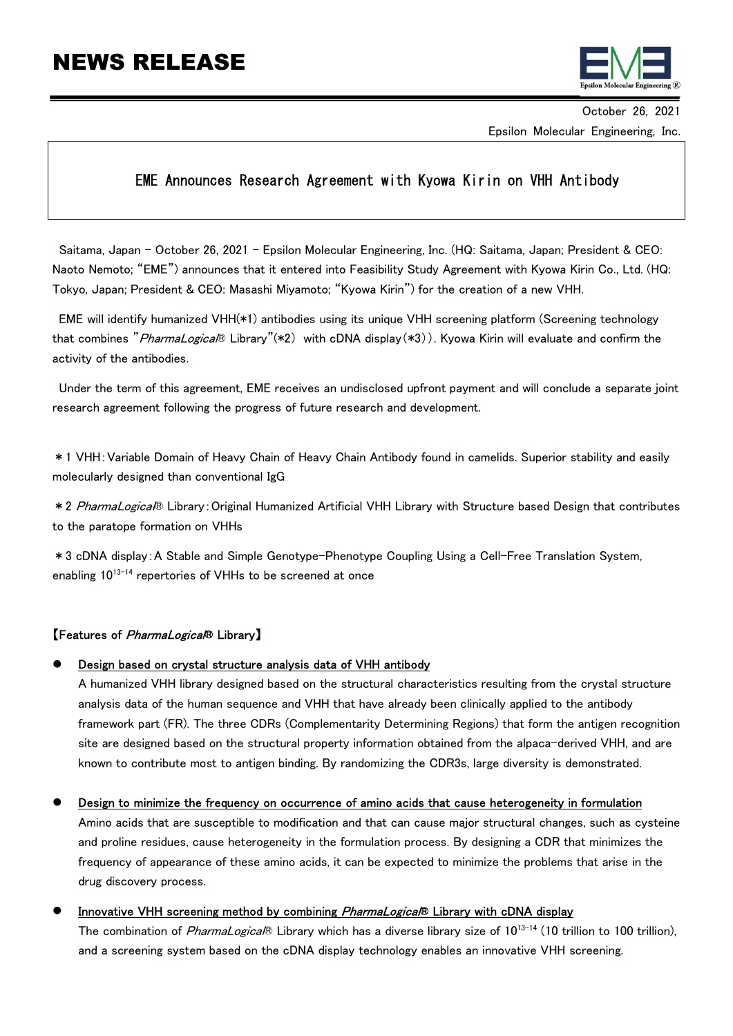# NEWS RELEASE



October 26, 2021 Epsilon Molecular Engineering, Inc.

# EME Announces Research Agreement with Kyowa Kirin on VHH Antibody

Saitama, Japan – October 26, 2021 - Epsilon Molecular Engineering, Inc. (HQ: Saitama, Japan; President & CEO: Naoto Nemoto; "EME") announces that it entered into Feasibility Study Agreement with Kyowa Kirin Co., Ltd. (HQ: Tokyo, Japan; President & CEO: Masashi Miyamoto; "Kyowa Kirin") for the creation of a new VHH.

EME will identify humanized VHH(\*1) antibodies using its unique VHH screening platform (Screening technology that combines "*PharmaLogical*® Library"(\*2) with cDNA display(\*3)). Kyowa Kirin will evaluate and confirm the activity of the antibodies.

Under the term of this agreement, EME receives an undisclosed upfront payment and will conclude a separate joint research agreement following the progress of future research and development.

\*1 VHH:Variable Domain of Heavy Chain of Heavy Chain Antibody found in camelids. Superior stability and easily molecularly designed than conventional IgG

\* 2 PharmaLogica<sup>R</sup> Library: Original Humanized Artificial VHH Library with Structure based Design that contributes to the paratope formation on VHHs

\*3 cDNA display:A Stable and Simple Genotype–Phenotype Coupling Using a Cell-Free Translation System, enabling  $10^{13-14}$  repertories of VHHs to be screened at once

## 【Features of *PharmaLogical*® Library】

### Design based on crystal structure analysis data of VHH antibody

A humanized VHH library designed based on the structural characteristics resulting from the crystal structure analysis data of the human sequence and VHH that have already been clinically applied to the antibody framework part (FR). The three CDRs (Complementarity Determining Regions) that form the antigen recognition site are designed based on the structural property information obtained from the alpaca-derived VHH, and are known to contribute most to antigen binding. By randomizing the CDR3s, large diversity is demonstrated.

#### Design to minimize the frequency on occurrence of amino acids that cause heterogeneity in formulation

Amino acids that are susceptible to modification and that can cause major structural changes, such as cysteine and proline residues, cause heterogeneity in the formulation process. By designing a CDR that minimizes the frequency of appearance of these amino acids, it can be expected to minimize the problems that arise in the drug discovery process.

#### Innovative VHH screening method by combining *PharmaLogical*® Library with cDNA display

The combination of *PharmaLogical*® Library which has a diverse library size of 10<sup>13-14</sup> (10 trillion to 100 trillion), and a screening system based on the cDNA display technology enables an innovative VHH screening.